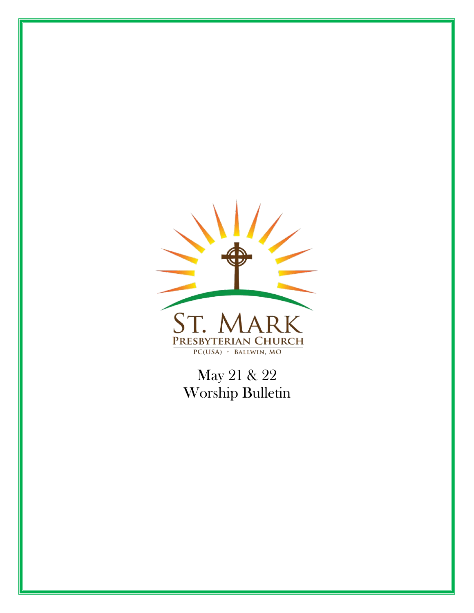

# May 21 & 22 Worship Bulletin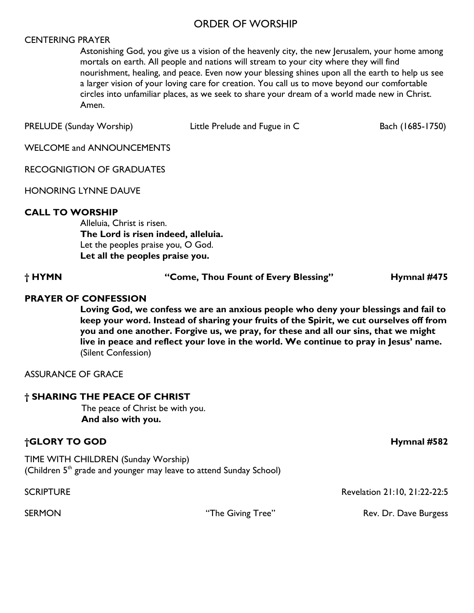### ORDER OF WORSHIP

#### CENTERING PRAYER

Astonishing God, you give us a vision of the heavenly city, the new Jerusalem, your home among mortals on earth. All people and nations will stream to your city where they will find nourishment, healing, and peace. Even now your blessing shines upon all the earth to help us see a larger vision of your loving care for creation. You call us to move beyond our comfortable circles into unfamiliar places, as we seek to share your dream of a world made new in Christ. Amen.

PRELUDE (Sunday Worship) Little Prelude and Fugue in C Bach (1685-1750)

WELCOME and ANNOUNCEMENTS

RECOGNIGTION OF GRADUATES

HONORING LYNNE DAUVE

#### **CALL TO WORSHIP**

Alleluia, Christ is risen. **The Lord is risen indeed, alleluia.** Let the peoples praise you, O God. **Let all the peoples praise you.**

#### **† HYMN "Come, Thou Fount of Every Blessing" Hymnal #475**

#### **PRAYER OF CONFESSION**

**Loving God, we confess we are an anxious people who deny your blessings and fail to keep your word. Instead of sharing your fruits of the Spirit, we cut ourselves off from you and one another. Forgive us, we pray, for these and all our sins, that we might live in peace and reflect your love in the world. We continue to pray in Jesus' name.**  (Silent Confession)

#### ASSURANCE OF GRACE

#### **† SHARING THE PEACE OF CHRIST**

The peace of Christ be with you. **And also with you.**

#### **†GLORY TO GOD Hymnal #582**

TIME WITH CHILDREN (Sunday Worship) (Children  $5<sup>th</sup>$  grade and younger may leave to attend Sunday School)

SCRIPTURE Revelation 21:10, 21:22-22:5

SERMON **EXAMPLE 19 SERMON** "The Giving Tree" Rev. Dr. Dave Burgess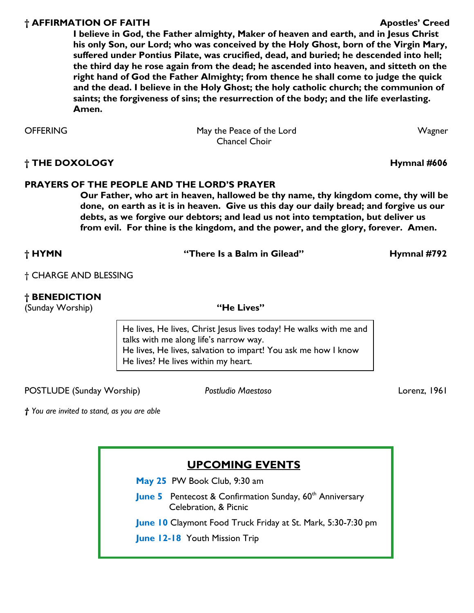#### **† AFFIRMATION OF FAITH Apostles' Creed**

**I believe in God, the Father almighty, Maker of heaven and earth, and in Jesus Christ his only Son, our Lord; who was conceived by the Holy Ghost, born of the Virgin Mary, suffered under Pontius Pilate, was crucified, dead, and buried; he descended into hell; the third day he rose again from the dead; he ascended into heaven, and sitteth on the right hand of God the Father Almighty; from thence he shall come to judge the quick and the dead. I believe in the Holy Ghost; the holy catholic church; the communion of saints; the forgiveness of sins; the resurrection of the body; and the life everlasting. Amen.** 

| <b>OFFERING</b> | May the Peace of the Lord | Wagner |
|-----------------|---------------------------|--------|
|                 | <b>Chancel Choir</b>      |        |

**† THE DOXOLOGY Hymnal #606**

#### **PRAYERS OF THE PEOPLE AND THE LORD'S PRAYER**

**Our Father, who art in heaven, hallowed be thy name, thy kingdom come, thy will be done, on earth as it is in heaven. Give us this day our daily bread; and forgive us our debts, as we forgive our debtors; and lead us not into temptation, but deliver us from evil. For thine is the kingdom, and the power, and the glory, forever. Amen.** 

**† HYMN "There Is a Balm in Gilead" Hymnal #792**

† CHARGE AND BLESSING

#### **† BENEDICTION**

He lives, He lives, Christ Jesus lives today! He walks with me and talks with me along life's narrow way. He lives, He lives, salvation to impart! You ask me how I know He lives? He lives within my heart.

POSTLUDE (Sunday Worship) *Postludio Maestoso* Lorenz, 1961

*† You are invited to stand, as you are able* 

## **UPCOMING EVENTS**

**May 25** PW Book Club, 9:30 am

**June 5** Pentecost & Confirmation Sunday, 60<sup>th</sup> Anniversary Celebration, & Picnic

**June 10** Claymont Food Truck Friday at St. Mark, 5:30-7:30 pm

**June 12-18** Youth Mission Trip

(Sunday Worship) **"He Lives"**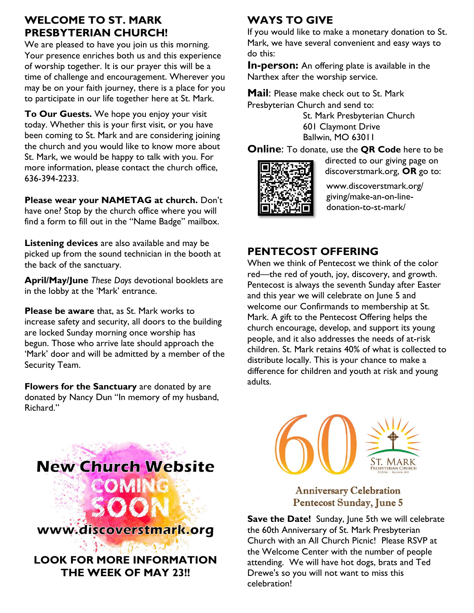## **WELCOME TO ST. MARK PRESBYTERIAN CHURCH!**

We are pleased to have you join us this morning. Your presence enriches both us and this experience of worship together. It is our prayer this will be a time of challenge and encouragement. Wherever you may be on your faith journey, there is a place for you to participate in our life together here at St. Mark.

**To Our Guests.** We hope you enjoy your visit today. Whether this is your first visit, or you have been coming to St. Mark and are considering joining the church and you would like to know more about St. Mark, we would be happy to talk with you. For more information, please contact the church office, 636-394-2233.

**Please wear your NAMETAG at church.** Don't have one? Stop by the church office where you will find a form to fill out in the "Name Badge" mailbox.

**Listening devices** are also available and may be picked up from the sound technician in the booth at the back of the sanctuary.

**April/May/June** *These Days* devotional booklets are in the lobby at the 'Mark' entrance.

**Please be aware** that, as St. Mark works to increase safety and security, all doors to the building are locked Sunday morning once worship has begun. Those who arrive late should approach the 'Mark' door and will be admitted by a member of the Security Team.

**Flowers for the Sanctuary** are donated by are donated by Nancy Dun "In memory of my husband, Richard."



## **WAYS TO GIVE**

If you would like to make a monetary donation to St. Mark, we have several convenient and easy ways to do this:

**In-person:** An offering plate is available in the Narthex after the worship service.

**Mail**: Please make check out to St. Mark Presbyterian Church and send to:

> St. Mark Presbyterian Church 601 Claymont Drive Ballwin, MO 63011

**Online**: To donate, use the **QR Code** here to be



directed to our giving page on discoverstmark.org, **OR** go to:

www.discoverstmark.org/ giving/make-an-on-linedonation-to-st-mark/

## **PENTECOST OFFERING**

When we think of Pentecost we think of the color red—the red of youth, joy, discovery, and growth. Pentecost is always the seventh Sunday after Easter and this year we will celebrate on June 5 and welcome our Confirmands to membership at St. Mark. A gift to the Pentecost Offering helps the church encourage, develop, and support its young people, and it also addresses the needs of at-risk children. St. Mark retains 40% of what is collected to distribute locally. This is your chance to make a difference for children and youth at risk and young adults.



**Anniversary Celebration** Pentecost Sunday, June 5

**Save the Date!** Sunday, June 5th we will celebrate the 60th Anniversary of St. Mark Presbyterian Church with an All Church Picnic! Please RSVP at the Welcome Center with the number of people attending. We will have hot dogs, brats and Ted Drewe's so you will not want to miss this celebration!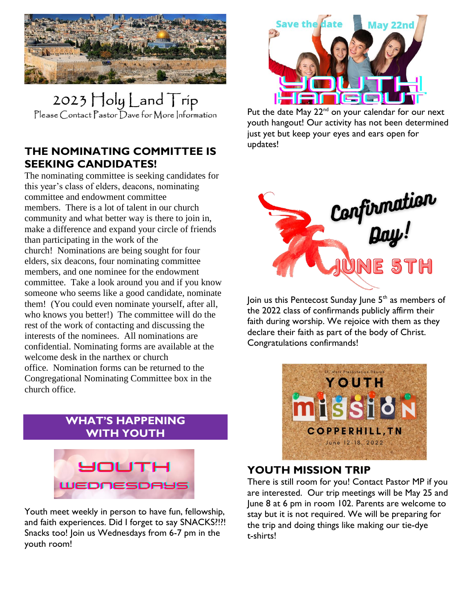

2023  $\operatorname{\mathsf{Holy}}$  Land  $\operatorname{\mathsf{Trip}}$ Please Contact Pastor Dave for More Information

## **THE NOMINATING COMMITTEE IS SEEKING CANDIDATES!**

The nominating committee is seeking candidates for this year's class of elders, deacons, nominating committee and endowment committee members. There is a lot of talent in our church community and what better way is there to join in, make a difference and expand your circle of friends than participating in the work of the church! Nominations are being sought for four elders, six deacons, four nominating committee members, and one nominee for the endowment committee. Take a look around you and if you know someone who seems like a good candidate, nominate them! (You could even nominate yourself, after all, who knows you better!) The committee will do the rest of the work of contacting and discussing the interests of the nominees. All nominations are confidential. Nominating forms are available at the welcome desk in the narthex or church office. Nomination forms can be returned to the Congregational Nominating Committee box in the church office.

## **WHAT'S HAPPENING WITH YOUTH**



Youth meet weekly in person to have fun, fellowship, and faith experiences. Did I forget to say SNACKS?!?! Snacks too! Join us Wednesdays from 6-7 pm in the youth room!



Put the date May  $22<sup>nd</sup>$  on your calendar for our next youth hangout! Our activity has not been determined just yet but keep your eyes and ears open for updates!



Join us this Pentecost Sunday June 5<sup>th</sup> as members of the 2022 class of confirmands publicly affirm their faith during worship. We rejoice with them as they declare their faith as part of the body of Christ. Congratulations confirmands!



## **YOUTH MISSION TRIP**

There is still room for you! Contact Pastor MP if you are interested. Our trip meetings will be May 25 and June 8 at 6 pm in room 102. Parents are welcome to stay but it is not required. We will be preparing for the trip and doing things like making our tie-dye t-shirts!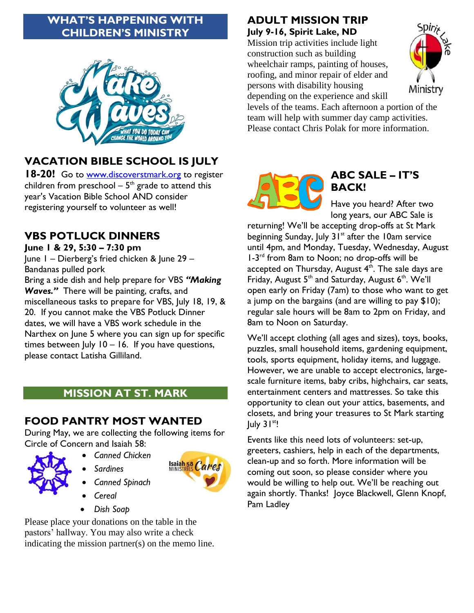## **WHAT'S HAPPENING WITH CHILDREN'S MINIST**



## **VACATION BIBLE SCHOOL IS JULY**

**18-20!** Go to **www.discoverstmark.org** to register children from preschool  $-5<sup>th</sup>$  grade to attend this year's Vacation Bible School AND consider registering yourself to volunteer as well!

## **VBS POTLUCK DINNERS**

**June 1 & 29, 5:30 – 7:30 pm**

June 1 – Dierberg's fried chicken & June 29 – Bandanas pulled pork

Bring a side dish and help prepare for VBS *"Making Waves."* There will be painting, crafts, and miscellaneous tasks to prepare for VBS, July 18, 19, & 20. If you cannot make the VBS Potluck Dinner dates, we will have a VBS work schedule in the Narthex on June 5 where you can sign up for specific times between July  $10 - 16$ . If you have questions, please contact Latisha Gilliland.

## **MISSION AT ST. MARK**

## **FOOD PANTRY MOST WANTED**

During May, we are collecting the following items for Circle of Concern and Isaiah 58:

- *Canned Chicken*
- 
- *Sardines*



- *Canned Spinach* • *Cereal*
- *Dish Soap*

Please place your donations on the table in the pastors' hallway. You may also write a check indicating the mission partner(s) on the memo line.

## **ADULT MISSION TRIP July 9-16, Spirit Lake, ND**

Mission trip activities include light construction such as building wheelchair ramps, painting of houses, roofing, and minor repair of elder and persons with disability housing depending on the experience and skill



levels of the teams. Each afternoon a portion of the team will help with summer day camp activities. Please contact Chris Polak for more information.



## **ABC SALE – IT'S BACK!**

Have you heard? After two long years, our ABC Sale is

returning! We'll be accepting drop-offs at St Mark beginning Sunday, July  $31^{st}$  after the 10am service until 4pm, and Monday, Tuesday, Wednesday, August 1-3 rd from 8am to Noon; no drop-offs will be accepted on Thursday, August  $4<sup>th</sup>$ . The sale days are Friday, August  $5<sup>th</sup>$  and Saturday, August  $6<sup>th</sup>$ . We'll open early on Friday (7am) to those who want to get a jump on the bargains (and are willing to pay \$10); regular sale hours will be 8am to 2pm on Friday, and 8am to Noon on Saturday.

We'll accept clothing (all ages and sizes), toys, books, puzzles, small household items, gardening equipment, tools, sports equipment, holiday items, and luggage. However, we are unable to accept electronics, largescale furniture items, baby cribs, highchairs, car seats, entertainment centers and mattresses. So take this opportunity to clean out your attics, basements, and closets, and bring your treasures to St Mark starting July  $31^{st}$ !

Events like this need lots of volunteers: set-up, greeters, cashiers, help in each of the departments, clean-up and so forth. More information will be coming out soon, so please consider where you would be willing to help out. We'll be reaching out again shortly. Thanks! Joyce Blackwell, Glenn Knopf, Pam Ladley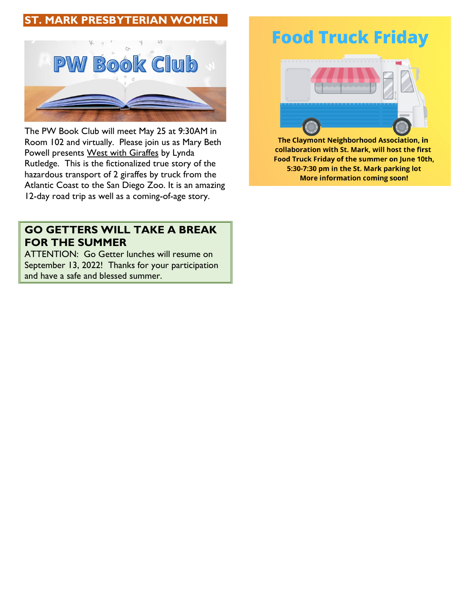## **ST. MARK PRESBYTERIAN WOMEN**



The PW Book Club will meet May 25 at 9:30AM in Room 102 and virtually. Please join us as Mary Beth Powell presents West with Giraffes by Lynda Rutledge. This is the fictionalized true story of the hazardous transport of 2 giraffes by truck from the Atlantic Coast to the San Diego Zoo. It is an amazing 12-day road trip as well as a coming-of-age story.

## **GO GETTERS WILL TAKE A BREAK FOR THE SUMMER**

ATTENTION: Go Getter lunches will resume on September 13, 2022! Thanks for your participation and have a safe and blessed summer.

# **Food Truck Friday**



The Claymont Neighborhood Association, in collaboration with St. Mark, will host the first Food Truck Friday of the summer on June 10th, 5:30-7:30 pm in the St. Mark parking lot **More information coming soon!**